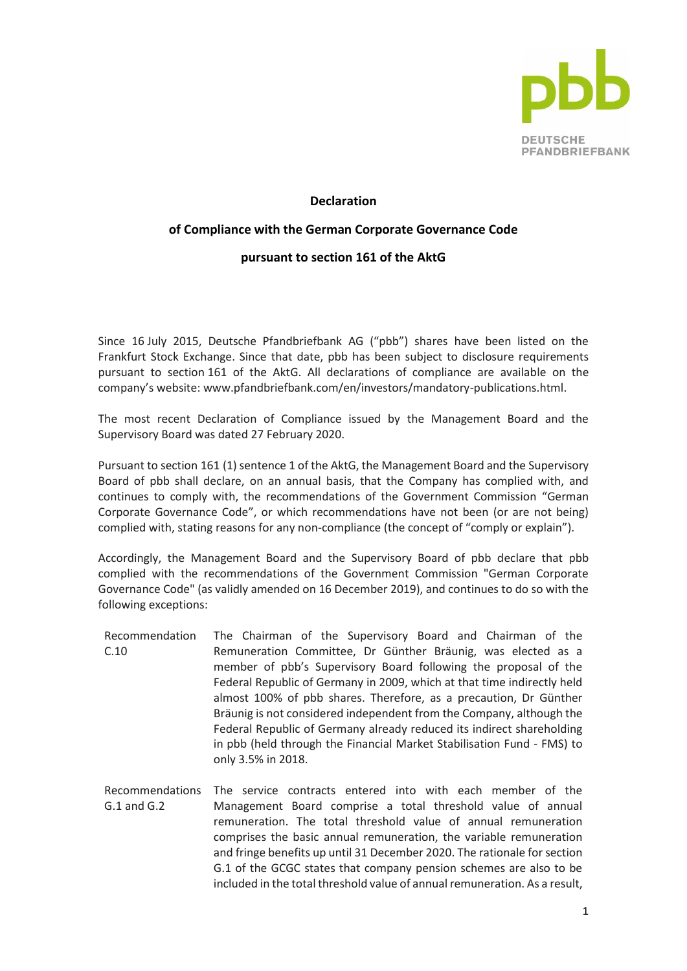

## **Declaration**

## **of Compliance with the German Corporate Governance Code**

## **pursuant to section 161 of the AktG**

Since 16 July 2015, Deutsche Pfandbriefbank AG ("pbb") shares have been listed on the Frankfurt Stock Exchange. Since that date, pbb has been subject to disclosure requirements pursuant to section 161 of the AktG. All declarations of compliance are available on the company's website: www.pfandbriefbank.com/en/investors/mandatory-publications.html.

The most recent Declaration of Compliance issued by the Management Board and the Supervisory Board was dated 27 February 2020.

Pursuant to section 161 (1) sentence 1 of the AktG, the Management Board and the Supervisory Board of pbb shall declare, on an annual basis, that the Company has complied with, and continues to comply with, the recommendations of the Government Commission "German Corporate Governance Code", or which recommendations have not been (or are not being) complied with, stating reasons for any non-compliance (the concept of "comply or explain").

Accordingly, the Management Board and the Supervisory Board of pbb declare that pbb complied with the recommendations of the Government Commission "German Corporate Governance Code" (as validly amended on 16 December 2019), and continues to do so with the following exceptions:

- Recommendation C.10 The Chairman of the Supervisory Board and Chairman of the Remuneration Committee, Dr Günther Bräunig, was elected as a member of pbb's Supervisory Board following the proposal of the Federal Republic of Germany in 2009, which at that time indirectly held almost 100% of pbb shares. Therefore, as a precaution, Dr Günther Bräunig is not considered independent from the Company, although the Federal Republic of Germany already reduced its indirect shareholding in pbb (held through the Financial Market Stabilisation Fund - FMS) to only 3.5% in 2018.
- Recommendations The service contracts entered into with each member of the G.1 and G.2 Management Board comprise a total threshold value of annual remuneration. The total threshold value of annual remuneration comprises the basic annual remuneration, the variable remuneration and fringe benefits up until 31 December 2020. The rationale for section G.1 of the GCGC states that company pension schemes are also to be included in the total threshold value of annual remuneration. As a result,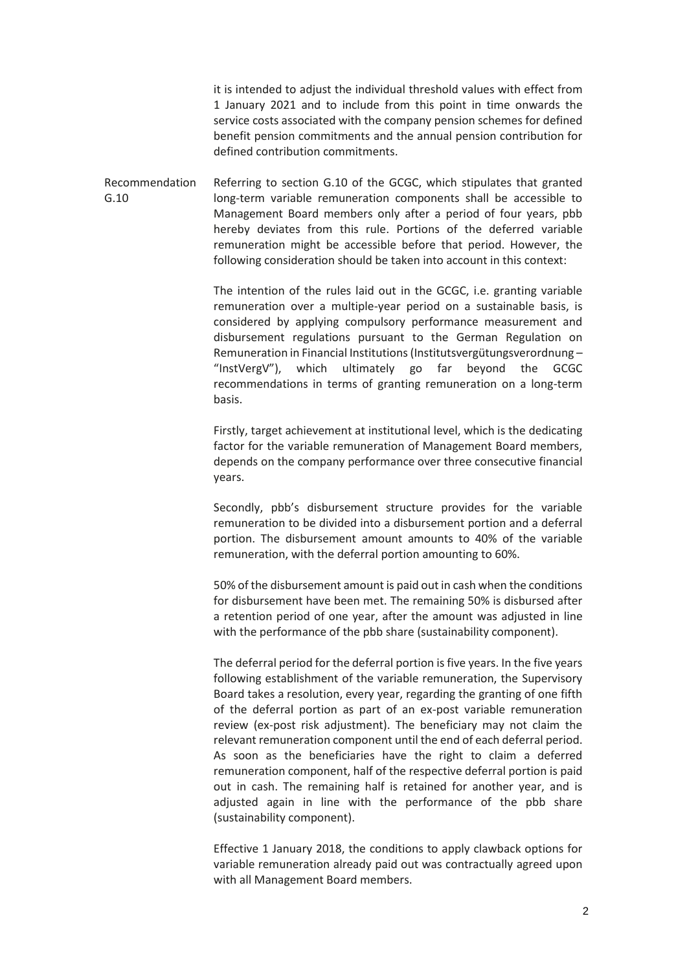it is intended to adjust the individual threshold values with effect from 1 January 2021 and to include from this point in time onwards the service costs associated with the company pension schemes for defined benefit pension commitments and the annual pension contribution for defined contribution commitments.

Recommendation G.10 Referring to section G.10 of the GCGC, which stipulates that granted long-term variable remuneration components shall be accessible to Management Board members only after a period of four years, pbb hereby deviates from this rule. Portions of the deferred variable remuneration might be accessible before that period. However, the following consideration should be taken into account in this context:

> The intention of the rules laid out in the GCGC, i.e. granting variable remuneration over a multiple-year period on a sustainable basis, is considered by applying compulsory performance measurement and disbursement regulations pursuant to the German Regulation on Remuneration in Financial Institutions (Institutsvergütungsverordnung – "InstVergV"), which ultimately go far beyond the GCGC recommendations in terms of granting remuneration on a long-term basis.

> Firstly, target achievement at institutional level, which is the dedicating factor for the variable remuneration of Management Board members, depends on the company performance over three consecutive financial years.

> Secondly, pbb's disbursement structure provides for the variable remuneration to be divided into a disbursement portion and a deferral portion. The disbursement amount amounts to 40% of the variable remuneration, with the deferral portion amounting to 60%.

> 50% of the disbursement amount is paid out in cash when the conditions for disbursement have been met. The remaining 50% is disbursed after a retention period of one year, after the amount was adjusted in line with the performance of the pbb share (sustainability component).

> The deferral period for the deferral portion is five years. In the five years following establishment of the variable remuneration, the Supervisory Board takes a resolution, every year, regarding the granting of one fifth of the deferral portion as part of an ex-post variable remuneration review (ex-post risk adjustment). The beneficiary may not claim the relevant remuneration component until the end of each deferral period. As soon as the beneficiaries have the right to claim a deferred remuneration component, half of the respective deferral portion is paid out in cash. The remaining half is retained for another year, and is adjusted again in line with the performance of the pbb share (sustainability component).

> Effective 1 January 2018, the conditions to apply clawback options for variable remuneration already paid out was contractually agreed upon with all Management Board members.